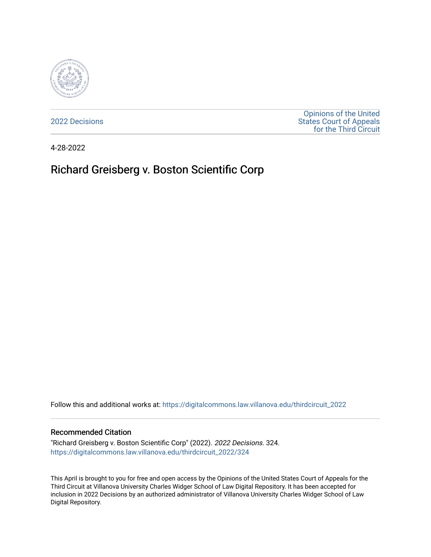

[2022 Decisions](https://digitalcommons.law.villanova.edu/thirdcircuit_2022)

[Opinions of the United](https://digitalcommons.law.villanova.edu/thirdcircuit)  [States Court of Appeals](https://digitalcommons.law.villanova.edu/thirdcircuit)  [for the Third Circuit](https://digitalcommons.law.villanova.edu/thirdcircuit) 

4-28-2022

# Richard Greisberg v. Boston Scientific Corp

Follow this and additional works at: [https://digitalcommons.law.villanova.edu/thirdcircuit\\_2022](https://digitalcommons.law.villanova.edu/thirdcircuit_2022?utm_source=digitalcommons.law.villanova.edu%2Fthirdcircuit_2022%2F324&utm_medium=PDF&utm_campaign=PDFCoverPages) 

#### Recommended Citation

"Richard Greisberg v. Boston Scientific Corp" (2022). 2022 Decisions. 324. [https://digitalcommons.law.villanova.edu/thirdcircuit\\_2022/324](https://digitalcommons.law.villanova.edu/thirdcircuit_2022/324?utm_source=digitalcommons.law.villanova.edu%2Fthirdcircuit_2022%2F324&utm_medium=PDF&utm_campaign=PDFCoverPages)

This April is brought to you for free and open access by the Opinions of the United States Court of Appeals for the Third Circuit at Villanova University Charles Widger School of Law Digital Repository. It has been accepted for inclusion in 2022 Decisions by an authorized administrator of Villanova University Charles Widger School of Law Digital Repository.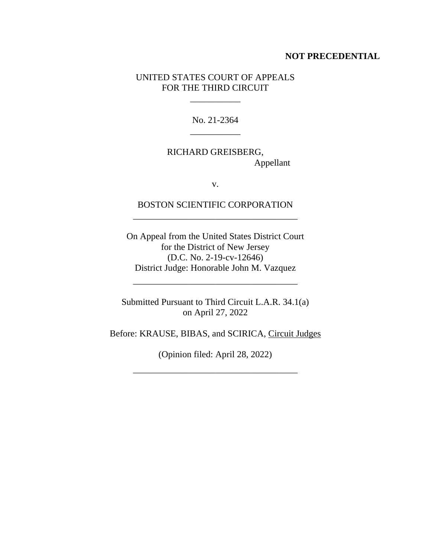### **NOT PRECEDENTIAL**

## UNITED STATES COURT OF APPEALS FOR THE THIRD CIRCUIT

 $\mathcal{L}=\mathcal{L}=\mathcal{L}=\mathcal{L}=\mathcal{L}$ 

No. 21-2364 \_\_\_\_\_\_\_\_\_\_\_

RICHARD GREISBERG, Appellant

v.

BOSTON SCIENTIFIC CORPORATION \_\_\_\_\_\_\_\_\_\_\_\_\_\_\_\_\_\_\_\_\_\_\_\_\_\_\_\_\_\_\_\_\_\_\_\_

On Appeal from the United States District Court for the District of New Jersey (D.C. No. 2-19-cv-12646) District Judge: Honorable John M. Vazquez

Submitted Pursuant to Third Circuit L.A.R. 34.1(a) on April 27, 2022

\_\_\_\_\_\_\_\_\_\_\_\_\_\_\_\_\_\_\_\_\_\_\_\_\_\_\_\_\_\_\_\_\_\_\_\_

Before: KRAUSE, BIBAS, and SCIRICA, Circuit Judges

(Opinion filed: April 28, 2022)

\_\_\_\_\_\_\_\_\_\_\_\_\_\_\_\_\_\_\_\_\_\_\_\_\_\_\_\_\_\_\_\_\_\_\_\_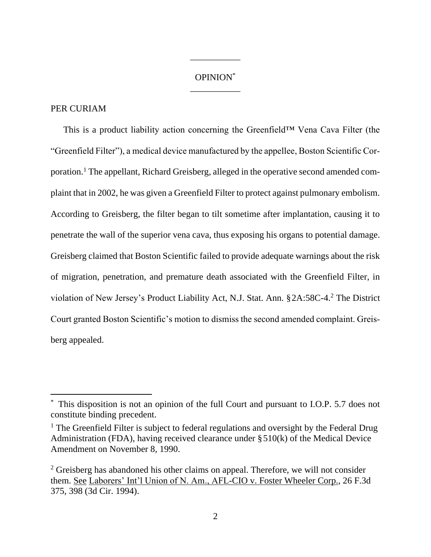# OPINION\* \_\_\_\_\_\_\_\_\_\_\_

\_\_\_\_\_\_\_\_\_\_\_

### PER CURIAM

This is a product liability action concerning the Greenfield™ Vena Cava Filter (the "Greenfield Filter"), a medical device manufactured by the appellee, Boston Scientific Corporation.<sup>1</sup> The appellant, Richard Greisberg, alleged in the operative second amended complaint that in 2002, he was given a Greenfield Filter to protect against pulmonary embolism. According to Greisberg, the filter began to tilt sometime after implantation, causing it to penetrate the wall of the superior vena cava, thus exposing his organs to potential damage. Greisberg claimed that Boston Scientific failed to provide adequate warnings about the risk of migration, penetration, and premature death associated with the Greenfield Filter, in violation of New Jersey's Product Liability Act, N.J. Stat. Ann. §2A:58C-4.<sup>2</sup> The District Court granted Boston Scientific's motion to dismiss the second amended complaint. Greisberg appealed.

This disposition is not an opinion of the full Court and pursuant to I.O.P. 5.7 does not constitute binding precedent.

<sup>&</sup>lt;sup>1</sup> The Greenfield Filter is subject to federal regulations and oversight by the Federal Drug Administration (FDA), having received clearance under §510(k) of the Medical Device Amendment on November 8, 1990.

<sup>&</sup>lt;sup>2</sup> Greisberg has abandoned his other claims on appeal. Therefore, we will not consider them. See Laborers' Int'l Union of N. Am., AFL-CIO v. Foster Wheeler Corp., 26 F.3d 375, 398 (3d Cir. 1994).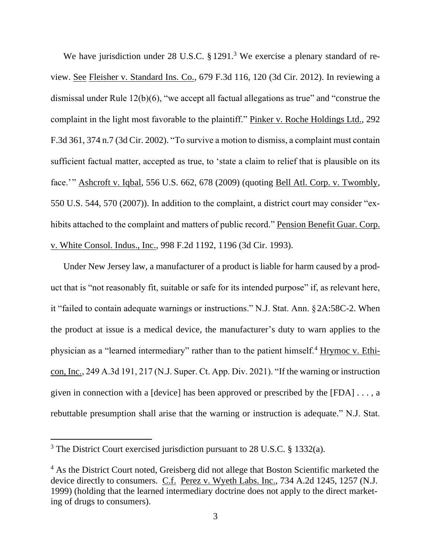We have jurisdiction under 28 U.S.C. § 1291.<sup>3</sup> We exercise a plenary standard of review. See Fleisher v. Standard Ins. Co., 679 F.3d 116, 120 (3d Cir. 2012). In reviewing a dismissal under Rule 12(b)(6), "we accept all factual allegations as true" and "construe the complaint in the light most favorable to the plaintiff." Pinker v. Roche Holdings Ltd., 292 F.3d 361, 374 n.7 (3d Cir. 2002). "To survive a motion to dismiss, a complaint must contain sufficient factual matter, accepted as true, to 'state a claim to relief that is plausible on its face.'" Ashcroft v. Iqbal, 556 U.S. 662, 678 (2009) (quoting Bell Atl. Corp. v. Twombly, 550 U.S. 544, 570 (2007)). In addition to the complaint, a district court may consider "exhibits attached to the complaint and matters of public record." Pension Benefit Guar. Corp. v. White Consol. Indus., Inc., 998 F.2d 1192, 1196 (3d Cir. 1993).

Under New Jersey law, a manufacturer of a product is liable for harm caused by a product that is "not reasonably fit, suitable or safe for its intended purpose" if, as relevant here, it "failed to contain adequate warnings or instructions." N.J. Stat. Ann. §2A:58C-2. When the product at issue is a medical device, the manufacturer's duty to warn applies to the physician as a "learned intermediary" rather than to the patient himself.<sup>4</sup> Hrymoc v. Ethicon, Inc., 249 A.3d 191, 217 (N.J. Super. Ct. App. Div. 2021). "If the warning or instruction given in connection with a [device] has been approved or prescribed by the  $[FDA] \ldots$ , a rebuttable presumption shall arise that the warning or instruction is adequate." N.J. Stat.

<sup>&</sup>lt;sup>3</sup> The District Court exercised jurisdiction pursuant to 28 U.S.C. § 1332(a).

<sup>&</sup>lt;sup>4</sup> As the District Court noted, Greisberg did not allege that Boston Scientific marketed the device directly to consumers. C.f. Perez v. Wyeth Labs. Inc., 734 A.2d 1245, 1257 (N.J. 1999) (holding that the learned intermediary doctrine does not apply to the direct marketing of drugs to consumers).